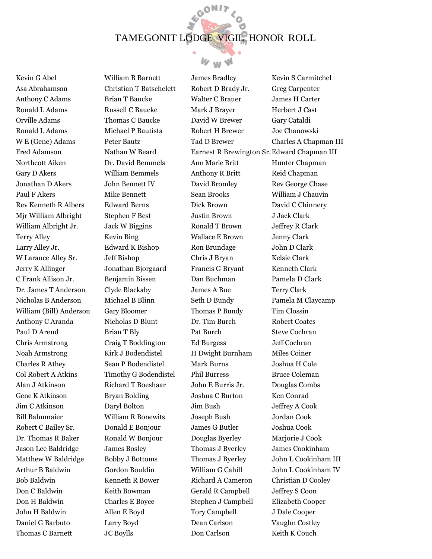GON17



Kevin G Abel Asa Abrahamson Anthony C Adams Ronald L Adams Orville Adams Ronald L Adams W E (Gene) Adams Fred Adamson Northcott Aiken Gary D Akers Jonathan D Akers Paul F Akers Rev Kenneth R Albers Mjr William Albright William Albright Jr. Terry Alley Larry Alley Jr. W Larance Alley Sr. Jerry K Allinger C Frank Allison Jr. Dr. James T Anderson Nicholas B Anderson William (Bill) Anderson Anthony C Aranda Paul D Arend Chris Armstrong Noah Armstrong Charles R Athey Col Robert A Atkins Alan J Atkinson Gene K Atkinson Jim C Atkinson Bill Bahnmaier Robert C Bailey Sr. Dr. Thomas R Baker Jason Lee Baldridge Matthew W Baldridge Arthur B Baldwin Bob Baldwin Don C Baldwin Don H Baldwin John H Baldwin Daniel G Barbuto Thomas C Barnett

William B Barnett Christian T Batschelett Brian T Baucke Russell C Baucke Thomas C Baucke Michael P Bautista Peter Bautz Nathan W Beard Dr. David Bemmels William Bemmels John Bennett IV Mike Bennett Edward Berns Stephen F Best Jack W Biggins Kevin Bing Edward K Bishop Jeff Bishop Jonathan Bjorgaard Benjamin Bissen Clyde Blackaby Michael B Blinn Gary Bloomer Nicholas D Blunt Brian T Bly Craig T Boddington Kirk J Bodendistel Sean P Bodendistel Timothy G Bodendistel Richard T Boeshaar Bryan Bolding Daryl Bolton William R Bonewits Donald E Bonjour Ronald W Bonjour James Bosley Bobby J Bottoms Gordon Bouldin Kenneth R Bower Keith Bowman Charles E Boyce Allen E Boyd Larry Boyd JC Boylls

James Bradley Robert D Brady Jr. Walter C Brauer Mark J Brayer David W Brewer Robert H Brewer Tad D Brewer Earnest R Brewington Sr. Edward Chapman III Ann Marie Britt Anthony R Britt David Bromley Sean Brooks Dick Brown Justin Brown Ronald T Brown Wallace E Brown Ron Brundage Chris J Bryan Francis G Bryant Dan Buchman James A Bue Seth D Bundy Thomas P Bundy Dr. Tim Burch Pat Burch Ed Burgess H Dwight Burnham Mark Burns Phil Burress John E Burris Jr. Joshua C Burton Jim Bush Joseph Bush James G Butler Douglas Byerley Thomas J Byerley Thomas J Byerley William G Cahill Richard A Cameron Gerald R Campbell Stephen J Campbell Tory Campbell Dean Carlson Don Carlson

Kevin S Carmitchel Greg Carpenter James H Carter Herbert J Cast Gary Cataldi Joe Chanowski Charles A Chapman III Hunter Chapman Reid Chapman Rev George Chase William J Chauvin David C Chinnery J Jack Clark Jeffrey R Clark Jenny Clark John D Clark Kelsie Clark Kenneth Clark Pamela D Clark Terry Clark Pamela M Claycamp Tim Clossin Robert Coates Steve Cochran Jeff Cochran Miles Coiner Joshua H Cole Bruce Coleman Douglas Combs Ken Conrad Jeffrey A Cook Jordan Cook Joshua Cook Mariorie J Cook James Cookinham John L Cookinham III John L Cookinham IV Christian D Cooley Jeffrey S Coon Elizabeth Cooper J Dale Cooper Vaughn Costley Keith K Couch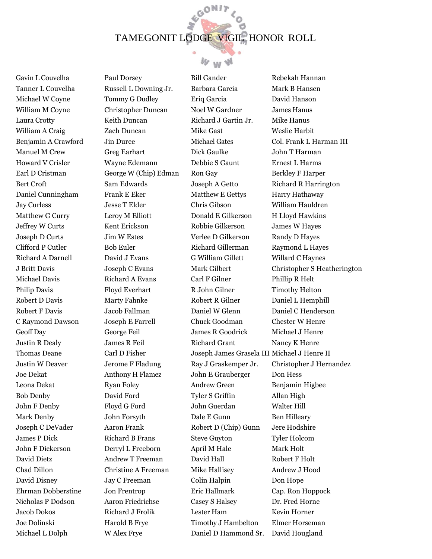GON17



Gavin L Couvelha Tanner L Couvelha Michael W Coyne William M Coyne Laura Crotty William A Craig Benjamin A Crawford Manuel M Crew Howard V Crisler Earl D Cristman Bert Croft Daniel Cunningham Jay Curless Matthew G Curry Jeffrey W Curts Joseph D Curts Clifford P Cutler Richard A Darnell J Britt Davis Michael Davis Philip Davis Robert D Davis Robert F Davis C Raymond Dawson Geoff Day Justin R Dealy Thomas Deane Justin W Deaver Joe Dekat Leona Dekat Bob Denby John F Denby Mark Denby Joseph C DeVader James P Dick John F Dickerson David Dietz Chad Dillon David Disney Ehrman Dobberstine Nicholas P Dodson Jacob Dokos Joe Dolinski Michael L Dolph

Paul Dorsey Russell L Downing Jr. Tommy G Dudley Christopher Duncan Keith Duncan Zach Duncan Jin Duree Greg Earhart Wayne Edemann George W (Chip) Edman Sam Edwards Frank E Eker Jesse T Elder Leroy M Elliott Kent Erickson Jim W Estes Bob Euler David J Evans Joseph C Evans Richard A Evans Floyd Everhart Marty Fahnke Jacob Fallman Joseph E Farrell George Feil James R Feil Carl D Fisher Jerome F Fladung Anthony H Flamez Ryan Foley David Ford Floyd G Ford John Forsyth Aaron Frank Richard B Frans Derryl L Freeborn Andrew T Freeman Christine A Freeman Jay C Freeman Jon Frentrop Aaron Friedrichse Richard J Frolik Harold B Frye W Alex Frye

Bill Gander Barbara Garcia Eriq Garcia Noel W Gardner Richard J Gartin Jr. Mike Gast Michael Gates Dick Gaulke Debbie S Gaunt Ron Gay Joseph A Getto Matthew E Gettys Chris Gibson Donald E Gilkerson Robbie Gilkerson Verlee D Gilkerson Richard Gillerman G William Gillett Mark Gilbert Carl F Gilner R John Gilner Robert R Gilner Daniel W Glenn Chuck Goodman James R Goodrick Richard Grant Joseph James Grasela III Michael J Henre II Ray J Graskemper Jr. John E Grauberger Andrew Green Tyler S Griffin John Guerdan Dale E Gunn Robert D (Chip) Gunn Steve Guyton April M Hale David Hall Mike Hallisey Colin Halpin Eric Hallmark Casey S Halsey Lester Ham Timothy J Hambelton Daniel D Hammond Sr.

Rebekah Hannan Mark B Hansen David Hanson James Hanus Mike Hanus Weslie Harbit Col. Frank L Harman III John T Harman Ernest L Harms Berkley F Harper Richard R Harrington Harry Hathaway William Hauldren H Lloyd Hawkins James W Hayes Randy D Hayes Raymond L Hayes Willard C Haynes Christopher S Heatherington Phillip R Helt Timothy Helton Daniel L Hemphill Daniel C Henderson Chester W Henre Michael J Henre Nancy K Henre Christopher J Hernandez Don Hess Benjamin Higbee Allan High Walter Hill Ben Hilleary Jere Hodshire Tyler Holcom Mark Holt Robert F Holt Andrew J Hood Don Hope Cap. Ron Hoppock Dr. Fred Horne Kevin Horner Elmer Horseman David Hougland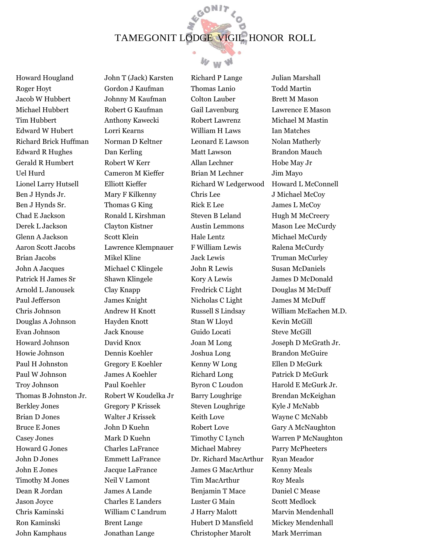GON17



Howard Hougland Roger Hoyt Jacob W Hubbert Michael Hubbert Tim Hubbert Edward W Hubert Richard Brick Huffman Edward R Hughes Gerald R Humbert Uel Hurd Lionel Larry Hutsell Ben J Hynds Jr. Ben J Hynds Sr. Chad E Jackson Derek L Jackson Glenn A Jackson Aaron Scott Jacobs Brian Jacobs John A Jacques Patrick H James Sr Arnold L Janousek Paul Jefferson Chris Johnson Douglas A Johnson Evan Johnson Howard Johnson Howie Johnson Paul H Johnston Paul W Johnson Troy Johnson Thomas B Johnston Jr. Berkley Jones Brian D Jones Bruce E Jones Casey Jones Howard G Jones John D Jones John E Jones Timothy M Jones Dean R Jordan Jason Joyce Chris Kaminski Ron Kaminski John Kamphaus

John T (Jack) Karsten Gordon J Kaufman Johnny M Kaufman Robert G Kaufman Anthony Kawecki Lorri Kearns Norman D Keltner Dan Kerling Robert W Kerr Cameron M Kieffer Elliott Kieffer Mary F Kilkenny Thomas G King Ronald L Kirshman Clayton Kistner Scott Klein Lawrence Klempnauer Mikel Kline Michael C Klingele Shawn Klingele Clay Knapp James Knight Andrew H Knott Hayden Knott Jack Knouse David Knox Dennis Koehler Gregory E Koehler James A Koehler Paul Koehler Robert W Koudelka Jr Gregory P Krissek Walter J Krissek John D Kuehn Mark D Kuehn Charles LaFrance Emmett LaFrance Jacque LaFrance Neil V Lamont James A Lande Charles E Landers William C Landrum Brent Lange Jonathan Lange

Richard P Lange Thomas Lanio Colton Lauber Gail Lavenburg Robert Lawrenz William H Laws Leonard E Lawson Matt Lawson Allan Lechner Brian M Lechner Richard W Ledgerwood Chris Lee Rick E Lee Steven B Leland Austin Lemmons Hale Lentz F William Lewis Jack Lewis John R Lewis Kory A Lewis Fredrick C Light Nicholas C Light Russell S Lindsay Stan W Lloyd Guido Locati Joan M Long Joshua Long Kenny W Long Richard Long Byron C Loudon Barry Loughrige Steven Loughrige Keith Love Robert Love Timothy C Lynch Michael Mabrey Dr. Richard MacArthur James G MacArthur Tim MacArthur Benjamin T Mace Luster G Main J Harry Malott Hubert D Mansfield Christopher Marolt

Julian Marshall Todd Martin Brett M Mason Lawrence E Mason Michael M Mastin Ian Matches Nolan Matherly Brandon Mauch Hobe May Jr Jim Mayo Howard L McConnell J Michael McCoy James L McCoy Hugh M McCreery Mason Lee McCurdy Michael McCurdy Ralena McCurdy Truman McCurley Susan McDaniels James D McDonald Douglas M McDuff James M McDuff William McEachen M.D. Kevin McGill Steve McGill Joseph D McGrath Jr. Brandon McGuire Ellen D McGurk Patrick D McGurk Harold E McGurk Jr. Brendan McKeighan Kyle J McNabb Wayne C McNabb Gary A McNaughton Warren P McNaughton Parry McPheeters Ryan Meador Kenny Meals Roy Meals Daniel C Mease Scott Medlock Marvin Mendenhall Mickey Mendenhall Mark Merriman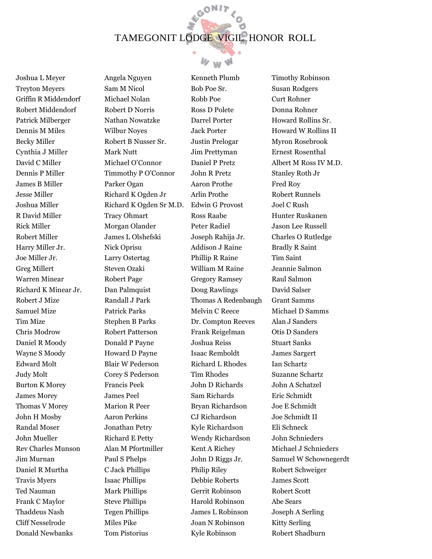GON17



Joshua L Meyer Treyton Meyers Griffin R Middendorf Robert Middendorf Patrick Milberger Dennis M Miles Becky Miller Cynthia J Miller David C Miller Dennis P Miller James B Miller Jesse Miller Joshua Miller R David Miller Rick Miller Robert Miller Harry Miller Jr. Joe Miller Jr. Greg Millert Warren Minear Richard K Minear Jr. Robert J Mize Samuel Mize Tim Mize Chris Modrow Daniel R Moody Wayne S Moody Edward Molt Judy Molt Burton K Morey James Morey Thomas V Morey John H Mosby Randal Moser John Mueller Rev Charles Munson Jim Murnan Daniel R Murtha Travis Myers Ted Nauman Frank C Maylor Thaddeus Nash Cliff Nesselrode Donald Newbanks

Angela Nguyen Sam M Nicol Michael Nolan Robert D Norris Nathan Nowatzke Wilbur Noyes Robert B Nusser Sr. Mark Nutt Michael O'Connor Timmothy P O'Connor Parker Ogan Richard K Ogden Jr Richard K Ogden Sr M.D. Tracy Ohmart Morgan Olander James L Olshefski Nick Oprisu Larry Ostertag Steven Ozaki Robert Page Dan Palmquist Randall J Park Patrick Parks Stephen B Parks Robert Patterson Donald P Payne Howard D Payne Blair W Pederson Corey S Pederson Francis Peek James Peel Marion R Peer Aaron Perkins Jonathan Petry Richard E Petty Alan M Pfortmiller Paul S Phelps C Jack Phillips Isaac Phillips Mark Phillips Steve Phillips Tegen Phillips Miles Pike Tom Pistorius

Kenneth Plumb Bob Poe Sr. Robb Poe Ross D Polete Darrel Porter Jack Porter Justin Prelogar Jim Prettyman Daniel P Pretz John R Pretz Aaron Prothe Arlin Prothe Edwin G Provost Ross Raabe Peter Radiel Joseph Rahija Jr. Addison J Raine Phillip R Raine William M Raine Gregory Ramsey Doug Rawlings Thomas A Redenbaugh Melvin C Reece Dr. Compton Reeves Frank Reigelman Joshua Reiss Isaac Remboldt Richard L Rhodes Tim Rhodes John D Richards Sam Richards Bryan Richardson CJ Richardson Kyle Richardson Wendy Richardson Kent A Richey John D Riggs Jr. Philip Riley Debbie Roberts Gerrit Robinson Harold Robinson James L Robinson Joan N Robinson Kyle Robinson

Timothy Robinson Susan Rodgers Curt Rohner Donna Rohner Howard Rollins Sr. Howard W Rollins II Myron Rosebrook Ernest Rosenthal Albert M Ross IV M.D. Stanley Roth Jr Fred Roy Robert Runnels Joel C Rush Hunter Ruskanen Jason Lee Russell Charles O Rutledge Bradly R Saint Tim Saint Jeannie Salmon Raul Salmon David Salser Grant Samms Michael D Samms Alan J Sanders Otis D Sanders Stuart Sanks James Sargert Ian Schartz Suzanne Schartz John A Schatzel Eric Schmidt Joe E Schmidt Joe Schmidt II Eli Schneck John Schnieders Michael J Schnieders Samuel W Schownegerdt Robert Schweiger James Scott Robert Scott Abe Sears Joseph A Serling Kitty Serling Robert Shadburn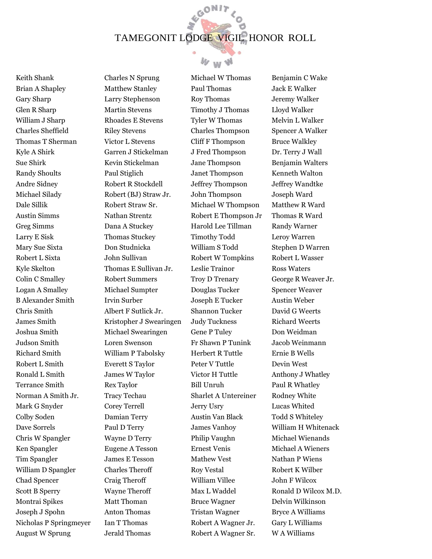GON17



Keith Shank Brian A Shapley Gary Sharp Glen R Sharp William J Sharp Charles Sheffield Thomas T Sherman Kyle A Shirk Sue Shirk Randy Shoults Andre Sidney Michael Silady Dale Sillik Austin Simms Greg Simms Larry E Sisk Mary Sue Sixta Robert L Sixta Kyle Skelton Colin C Smalley Logan A Smalley B Alexander Smith Chris Smith James Smith Joshua Smith Judson Smith Richard Smith Robert L Smith Ronald L Smith Terrance Smith Norman A Smith Jr. Mark G Snyder Colby Soden Dave Sorrels Chris W Spangler Ken Spangler Tim Spangler William D Spangler Chad Spencer Scott B Sperry Montrai Spikes Joseph J Spohn Nicholas P Springmeyer August W Sprung

Charles N Sprung Matthew Stanley Larry Stephenson Martin Stevens Rhoades E Stevens Riley Stevens Victor L Stevens Garren J Stickelman Kevin Stickelman Paul Stiglich Robert R Stockdell Robert (BJ) Straw Jr. Robert Straw Sr. Nathan Strentz Dana A Stuckey Thomas Stuckey Don Studnicka John Sullivan Thomas E Sullivan Jr. Robert Summers Michael Sumpter Irvin Surber Albert F Sutlick Jr. Kristopher J Swearingen Michael Swearingen Loren Swenson William P Tabolsky Everett S Taylor James W Taylor Rex Taylor Tracy Techau Corey Terrell Damian Terry Paul D Terry Wayne D Terry Eugene A Tesson James E Tesson Charles Theroff Craig Theroff Wayne Theroff Matt Thoman Anton Thomas Ian T Thomas Jerald Thomas

Michael W Thomas Paul Thomas Roy Thomas Timothy J Thomas Tyler W Thomas Charles Thompson Cliff F Thompson J Fred Thompson Jane Thompson Janet Thompson Jeffrey Thompson John Thompson Michael W Thompson Robert E Thompson Jr Harold Lee Tillman Timothy Todd William S Todd Robert W Tompkins Leslie Trainor Troy D Trenary Douglas Tucker Joseph E Tucker Shannon Tucker Judy Tuckness Gene P Tuley Fr Shawn P Tunink Herbert R Tuttle Peter V Tuttle Victor H Tuttle Bill Unruh Sharlet A Untereiner Jerry Usry Austin Van Black James Vanhoy Philip Vaughn Ernest Venis Mathew Vest Roy Vestal William Villee Max L Waddel Bruce Wagner Tristan Wagner Robert A Wagner Jr. Robert A Wagner Sr.

Benjamin C Wake Jack E Walker Jeremy Walker Lloyd Walker Melvin L Walker Spencer A Walker Bruce Walkley Dr. Terry J Wall Benjamin Walters Kenneth Walton Jeffrey Wandtke Joseph Ward Matthew R Ward Thomas R Ward Randy Warner Leroy Warren Stephen D Warren Robert L Wasser Ross Waters George R Weaver Jr. Spencer Weaver Austin Weber David G Weerts Richard Weerts Don Weidman Jacob Weinmann Ernie B Wells Devin West Anthony J Whatley Paul R Whatley Rodney White Lucas Whited Todd S Whiteley William H Whitenack Michael Wienands Michael A Wieners Nathan P Wiens Robert K Wilber John F Wilcox Ronald D Wilcox M.D. Delvin Wilkinson Bryce A Williams Gary L Williams W A Williams